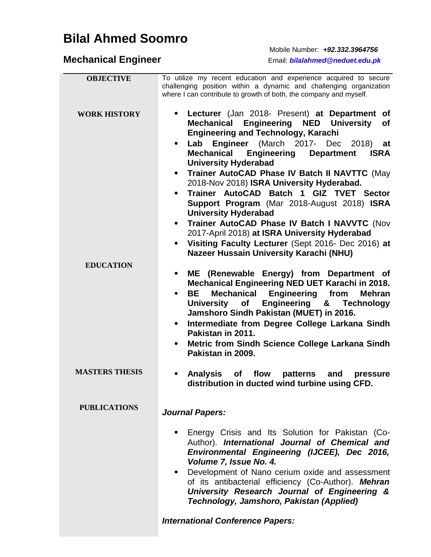## **Bilal Ahmed Soomro**

**Mechanical Engineer** 

Mobile Number: *+92.332.3964756*

**Mechanical Engineer** Email: *bilalahmed@neduet.edu.pk*

| <b>OBJECTIVE</b>      | To utilize my recent education and experience acquired to secure                     |
|-----------------------|--------------------------------------------------------------------------------------|
|                       | challenging position within a dynamic and challenging organization                   |
|                       | where I can contribute to growth of both, the company and myself.                    |
|                       |                                                                                      |
| <b>WORK HISTORY</b>   | Lecturer (Jan 2018- Present) at Department of                                        |
|                       | <b>Engineering NED University</b><br><b>Mechanical</b><br><b>of</b>                  |
|                       | <b>Engineering and Technology, Karachi</b>                                           |
|                       | Engineer (March 2017- Dec<br>Lab<br>2018)<br>$\bullet$<br>at                         |
|                       | <b>Mechanical</b><br><b>Engineering</b><br><b>Department</b><br><b>ISRA</b>          |
|                       | <b>University Hyderabad</b>                                                          |
|                       | Trainer AutoCAD Phase IV Batch II NAVTTC (May<br>$\bullet$                           |
|                       | 2018-Nov 2018) ISRA University Hyderabad.                                            |
|                       | Trainer AutoCAD Batch 1 GIZ TVET Sector<br>$\bullet$                                 |
|                       | Support Program (Mar 2018-August 2018) ISRA                                          |
|                       | <b>University Hyderabad</b>                                                          |
|                       | Trainer AutoCAD Phase IV Batch I NAVVTC (Nov<br>$\bullet$                            |
|                       | 2017-April 2018) at ISRA University Hyderabad                                        |
|                       | Visiting Faculty Lecturer (Sept 2016- Dec 2016) at<br>$\bullet$                      |
|                       | <b>Nazeer Hussain University Karachi (NHU)</b>                                       |
| <b>EDUCATION</b>      |                                                                                      |
|                       | ME (Renewable Energy) from Department of<br>$\bullet$                                |
|                       | Mechanical Engineering NED UET Karachi in 2018.                                      |
|                       | <b>Mechanical</b><br><b>Engineering</b><br>BE.<br>from<br><b>Mehran</b><br>$\bullet$ |
|                       | University of Engineering & Technology                                               |
|                       | Jamshoro Sindh Pakistan (MUET) in 2016.                                              |
|                       | Intermediate from Degree College Larkana Sindh<br>$\bullet$                          |
|                       | Pakistan in 2011.                                                                    |
|                       | <b>Metric from Sindh Science College Larkana Sindh</b>                               |
|                       | Pakistan in 2009.                                                                    |
|                       |                                                                                      |
| <b>MASTERS THESIS</b> | <b>Analysis</b><br>flow<br>patterns<br><b>of</b><br>and<br>pressure                  |
|                       | distribution in ducted wind turbine using CFD.                                       |
|                       |                                                                                      |
| <b>PUBLICATIONS</b>   | <b>Journal Papers:</b>                                                               |
|                       |                                                                                      |
|                       | Energy Crisis and Its Solution for Pakistan (Co-                                     |
|                       | Author). International Journal of Chemical and                                       |
|                       | Environmental Engineering (IJCEE), Dec 2016,                                         |
|                       | Volume 7, Issue No. 4.                                                               |
|                       | Development of Nano cerium oxide and assessment<br>$\bullet$                         |
|                       | of its antibacterial efficiency (Co-Author). Mehran                                  |
|                       | University Research Journal of Engineering &                                         |
|                       | Technology, Jamshoro, Pakistan (Applied)                                             |
|                       |                                                                                      |
|                       | <b>International Conference Papers:</b>                                              |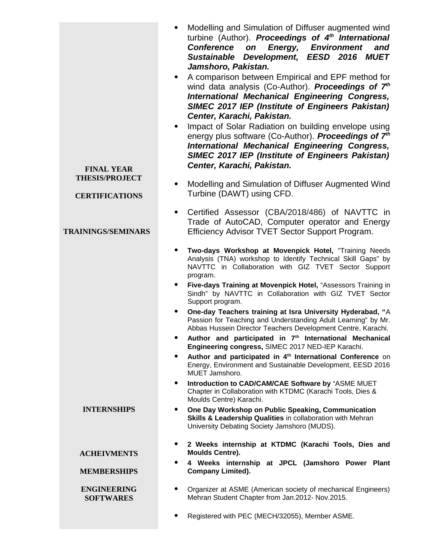| <b>FINAL YEAR</b><br><b>THESIS/PROJECT</b><br><b>CERTIFICATIONS</b><br><b>TRAININGS/SEMINARS</b> | Modelling and Simulation of Diffuser augmented wind<br>turbine (Author). Proceedings of 4 <sup>th</sup> International<br><b>Conference</b><br><b>Energy, Environment</b><br>and<br>on<br>Sustainable Development, EESD 2016 MUET<br>Jamshoro, Pakistan.<br>A comparison between Empirical and EPF method for<br>$\bullet$<br>wind data analysis (Co-Author). Proceedings of 7 <sup>th</sup><br><b>International Mechanical Engineering Congress,</b><br><b>SIMEC 2017 IEP (Institute of Engineers Pakistan)</b><br>Center, Karachi, Pakistan.<br>Impact of Solar Radiation on building envelope using<br>$\bullet$<br>energy plus software (Co-Author). Proceedings of 7 <sup>th</sup><br>International Mechanical Engineering Congress,<br><b>SIMEC 2017 IEP (Institute of Engineers Pakistan)</b><br>Center, Karachi, Pakistan.<br>Modelling and Simulation of Diffuser Augmented Wind<br>٠<br>Turbine (DAWT) using CFD.<br>Certified Assessor (CBA/2018/486) of NAVTTC in<br>$\bullet$<br>Trade of AutoCAD, Computer operator and Energy<br>Efficiency Advisor TVET Sector Support Program.<br>Two-days Workshop at Movenpick Hotel, "Training Needs<br>Analysis (TNA) workshop to Identify Technical Skill Gaps" by<br>NAVTTC in Collaboration with GIZ TVET Sector Support<br>program.<br>Five-days Training at Movenpick Hotel, "Assessors Training in<br>Sindh" by NAVTTC in Collaboration with GIZ TVET Sector<br>Support program.<br>One-day Teachers training at Isra University Hyderabad, "A<br>٠<br>Passion for Teaching and Understanding Adult Learning" by Mr.<br>Abbas Hussein Director Teachers Development Centre, Karachi.<br>Author and participated in 7 <sup>th</sup> International Mechanical<br>Engineering congress, SIMEC 2017 NED-IEP Karachi.<br>Author and participated in 4 <sup>th</sup> International Conference on<br>٠<br>Energy, Environment and Sustainable Development, EESD 2016<br>MUET Jamshoro.<br>Introduction to CAD/CAM/CAE Software by "ASME MUET<br>٠<br>Chapter in Collaboration with KTDMC (Karachi Tools, Dies & |
|--------------------------------------------------------------------------------------------------|--------------------------------------------------------------------------------------------------------------------------------------------------------------------------------------------------------------------------------------------------------------------------------------------------------------------------------------------------------------------------------------------------------------------------------------------------------------------------------------------------------------------------------------------------------------------------------------------------------------------------------------------------------------------------------------------------------------------------------------------------------------------------------------------------------------------------------------------------------------------------------------------------------------------------------------------------------------------------------------------------------------------------------------------------------------------------------------------------------------------------------------------------------------------------------------------------------------------------------------------------------------------------------------------------------------------------------------------------------------------------------------------------------------------------------------------------------------------------------------------------------------------------------------------------------------------------------------------------------------------------------------------------------------------------------------------------------------------------------------------------------------------------------------------------------------------------------------------------------------------------------------------------------------------------------------------------------------------------------------------------------------------------------------------------------------------|
| <b>INTERNSHIPS</b>                                                                               | Moulds Centre) Karachi.<br>One Day Workshop on Public Speaking, Communication<br>$\bullet$<br>Skills & Leadership Qualities in collaboration with Mehran<br>University Debating Society Jamshoro (MUDS).                                                                                                                                                                                                                                                                                                                                                                                                                                                                                                                                                                                                                                                                                                                                                                                                                                                                                                                                                                                                                                                                                                                                                                                                                                                                                                                                                                                                                                                                                                                                                                                                                                                                                                                                                                                                                                                           |
| <b>ACHEIVMENTS</b><br><b>MEMBERSHIPS</b><br><b>ENGINEERING</b><br><b>SOFTWARES</b>               | 2 Weeks internship at KTDMC (Karachi Tools, Dies and<br>٠<br>Moulds Centre).<br>4 Weeks internship at JPCL (Jamshoro Power Plant<br><b>Company Limited).</b><br>Organizer at ASME (American society of mechanical Engineers)<br>Mehran Student Chapter from Jan.2012- Nov.2015.                                                                                                                                                                                                                                                                                                                                                                                                                                                                                                                                                                                                                                                                                                                                                                                                                                                                                                                                                                                                                                                                                                                                                                                                                                                                                                                                                                                                                                                                                                                                                                                                                                                                                                                                                                                    |
|                                                                                                  | Registered with PEC (MECH/32055), Member ASME.<br>٠                                                                                                                                                                                                                                                                                                                                                                                                                                                                                                                                                                                                                                                                                                                                                                                                                                                                                                                                                                                                                                                                                                                                                                                                                                                                                                                                                                                                                                                                                                                                                                                                                                                                                                                                                                                                                                                                                                                                                                                                                |